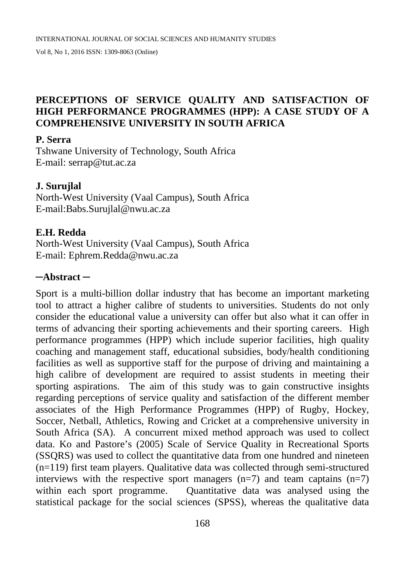# **PERCEPTIONS OF SERVICE QUALITY AND SATISFACTION OF HIGH PERFORMANCE PROGRAMMES (HPP): A CASE STUDY OF A COMPREHENSIVE UNIVERSITY IN SOUTH AFRICA**

#### **P. Serra**

Tshwane University of Technology, South Africa E-mail: serrap@tut.ac.za

#### **J. Surujlal**

North-West University (Vaal Campus), South Africa E-mail:Babs.Surujlal@nwu.ac.za

#### **E.H. Redda**

North-West University (Vaal Campus), South Africa E-mail: Ephrem.Redda@nwu.ac.za

#### **─Abstract ─**

Sport is a multi-billion dollar industry that has become an important marketing tool to attract a higher calibre of students to universities. Students do not only consider the educational value a university can offer but also what it can offer in terms of advancing their sporting achievements and their sporting careers. High performance programmes (HPP) which include superior facilities, high quality coaching and management staff, educational subsidies, body/health conditioning facilities as well as supportive staff for the purpose of driving and maintaining a high calibre of development are required to assist students in meeting their sporting aspirations. The aim of this study was to gain constructive insights regarding perceptions of service quality and satisfaction of the different member associates of the High Performance Programmes (HPP) of Rugby, Hockey, Soccer, Netball, Athletics, Rowing and Cricket at a comprehensive university in South Africa (SA). A concurrent mixed method approach was used to collect data. Ko and Pastore's (2005) Scale of Service Quality in Recreational Sports (SSQRS) was used to collect the quantitative data from one hundred and nineteen (n=119) first team players. Qualitative data was collected through semi-structured interviews with the respective sport managers  $(n=7)$  and team captains  $(n=7)$ within each sport programme. Quantitative data was analysed using the statistical package for the social sciences (SPSS), whereas the qualitative data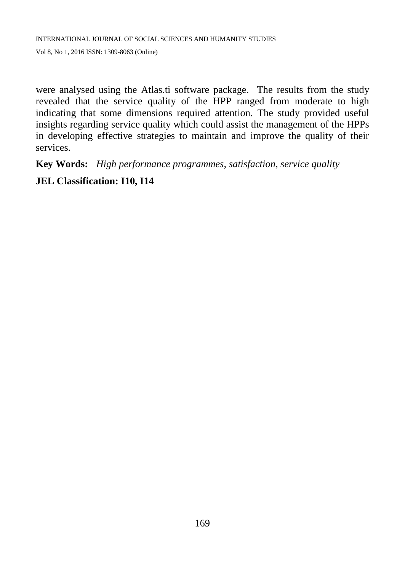were analysed using the Atlas.ti software package. The results from the study revealed that the service quality of the HPP ranged from moderate to high indicating that some dimensions required attention. The study provided useful insights regarding service quality which could assist the management of the HPPs in developing effective strategies to maintain and improve the quality of their services.

**Key Words:** *High performance programmes, satisfaction, service quality*

# **JEL Classification: I10, I14**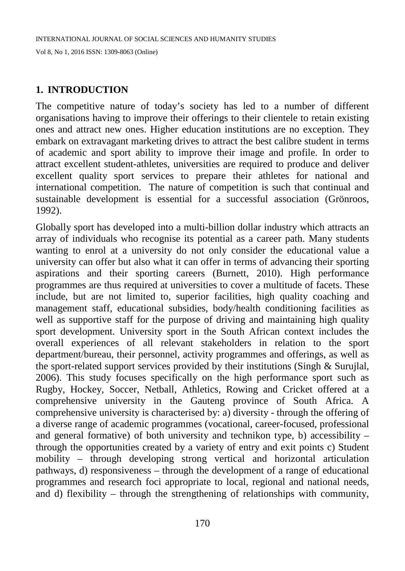#### **1. INTRODUCTION**

The competitive nature of today's society has led to a number of different organisations having to improve their offerings to their clientele to retain existing ones and attract new ones. Higher education institutions are no exception. They embark on extravagant marketing drives to attract the best calibre student in terms of academic and sport ability to improve their image and profile. In order to attract excellent student-athletes, universities are required to produce and deliver excellent quality sport services to prepare their athletes for national and international competition. The nature of competition is such that continual and sustainable development is essential for a successful association (Grönroos, 1992).

Globally sport has developed into a multi-billion dollar industry which attracts an array of individuals who recognise its potential as a career path. Many students wanting to enrol at a university do not only consider the educational value a university can offer but also what it can offer in terms of advancing their sporting aspirations and their sporting careers (Burnett, 2010). High performance programmes are thus required at universities to cover a multitude of facets. These include, but are not limited to, superior facilities, high quality coaching and management staff, educational subsidies, body/health conditioning facilities as well as supportive staff for the purpose of driving and maintaining high quality sport development. University sport in the South African context includes the overall experiences of all relevant stakeholders in relation to the sport department/bureau, their personnel, activity programmes and offerings, as well as the sport-related support services provided by their institutions (Singh & Surujlal, 2006). This study focuses specifically on the high performance sport such as Rugby, Hockey, Soccer, Netball, Athletics, Rowing and Cricket offered at a comprehensive university in the Gauteng province of South Africa. A comprehensive university is characterised by: a) diversity - through the offering of a diverse range of academic programmes (vocational, career-focused, professional and general formative) of both university and technikon type, b) accessibility – through the opportunities created by a variety of entry and exit points c) Student mobility – through developing strong vertical and horizontal articulation pathways, d) responsiveness – through the development of a range of educational programmes and research foci appropriate to local, regional and national needs, and d) flexibility – through the strengthening of relationships with community,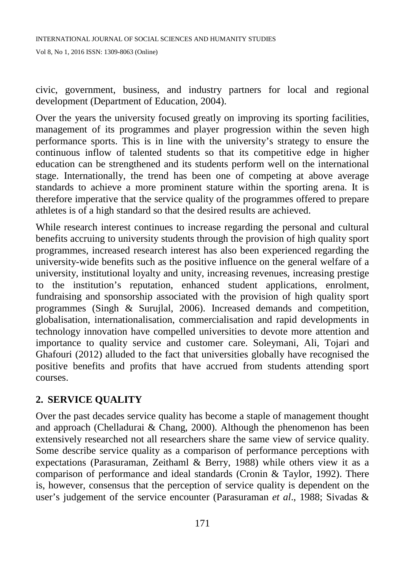civic, government, business, and industry partners for local and regional development (Department of Education, 2004).

Over the years the university focused greatly on improving its sporting facilities, management of its programmes and player progression within the seven high performance sports. This is in line with the university's strategy to ensure the continuous inflow of talented students so that its competitive edge in higher education can be strengthened and its students perform well on the international stage. Internationally, the trend has been one of competing at above average standards to achieve a more prominent stature within the sporting arena. It is therefore imperative that the service quality of the programmes offered to prepare athletes is of a high standard so that the desired results are achieved.

While research interest continues to increase regarding the personal and cultural benefits accruing to university students through the provision of high quality sport programmes, increased research interest has also been experienced regarding the university-wide benefits such as the positive influence on the general welfare of a university, institutional loyalty and unity, increasing revenues, increasing prestige to the institution's reputation, enhanced student applications, enrolment, fundraising and sponsorship associated with the provision of high quality sport programmes (Singh & Surujlal, 2006). Increased demands and competition, globalisation, internationalisation, commercialisation and rapid developments in technology innovation have compelled universities to devote more attention and importance to quality service and customer care. Soleymani, Ali, Tojari and Ghafouri (2012) alluded to the fact that universities globally have recognised the positive benefits and profits that have accrued from students attending sport courses.

### **2. SERVICE QUALITY**

Over the past decades service quality has become a staple of management thought and approach (Chelladurai & Chang, 2000). Although the phenomenon has been extensively researched not all researchers share the same view of service quality. Some describe service quality as a comparison of performance perceptions with expectations (Parasuraman, Zeithaml & Berry, 1988) while others view it as a comparison of performance and ideal standards (Cronin & Taylor, 1992). There is, however, consensus that the perception of service quality is dependent on the user's judgement of the service encounter (Parasuraman *et al*., 1988; Sivadas &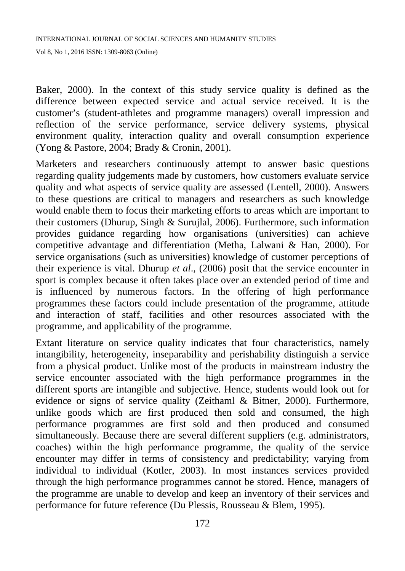Baker, 2000). In the context of this study service quality is defined as the difference between expected service and actual service received. It is the customer's (student-athletes and programme managers) overall impression and reflection of the service performance, service delivery systems, physical environment quality, interaction quality and overall consumption experience (Yong & Pastore, 2004; Brady & Cronin, 2001).

Marketers and researchers continuously attempt to answer basic questions regarding quality judgements made by customers, how customers evaluate service quality and what aspects of service quality are assessed (Lentell, 2000). Answers to these questions are critical to managers and researchers as such knowledge would enable them to focus their marketing efforts to areas which are important to their customers (Dhurup, Singh & Surujlal, 2006). Furthermore, such information provides guidance regarding how organisations (universities) can achieve competitive advantage and differentiation (Metha, Lalwani & Han, 2000). For service organisations (such as universities) knowledge of customer perceptions of their experience is vital. Dhurup *et al*., (2006) posit that the service encounter in sport is complex because it often takes place over an extended period of time and is influenced by numerous factors. In the offering of high performance programmes these factors could include presentation of the programme, attitude and interaction of staff, facilities and other resources associated with the programme, and applicability of the programme.

Extant literature on service quality indicates that four characteristics, namely intangibility, heterogeneity, inseparability and perishability distinguish a service from a physical product. Unlike most of the products in mainstream industry the service encounter associated with the high performance programmes in the different sports are intangible and subjective. Hence, students would look out for evidence or signs of service quality (Zeithaml & Bitner, 2000). Furthermore, unlike goods which are first produced then sold and consumed, the high performance programmes are first sold and then produced and consumed simultaneously. Because there are several different suppliers (e.g. administrators, coaches) within the high performance programme, the quality of the service encounter may differ in terms of consistency and predictability; varying from individual to individual (Kotler, 2003). In most instances services provided through the high performance programmes cannot be stored. Hence, managers of the programme are unable to develop and keep an inventory of their services and performance for future reference (Du Plessis, Rousseau & Blem, 1995).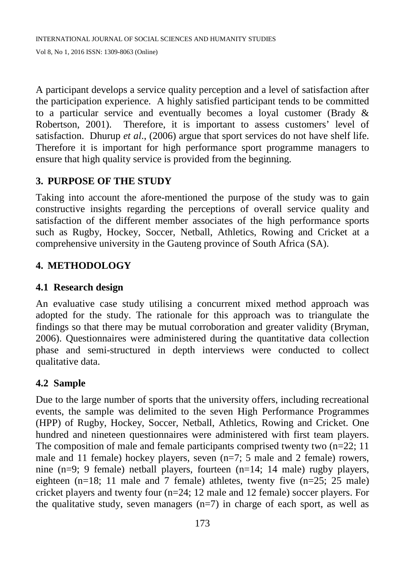A participant develops a service quality perception and a level of satisfaction after the participation experience. A highly satisfied participant tends to be committed to a particular service and eventually becomes a loyal customer (Brady & Robertson, 2001). Therefore, it is important to assess customers' level of satisfaction. Dhurup *et al*., (2006) argue that sport services do not have shelf life. Therefore it is important for high performance sport programme managers to ensure that high quality service is provided from the beginning.

# **3. PURPOSE OF THE STUDY**

Taking into account the afore-mentioned the purpose of the study was to gain constructive insights regarding the perceptions of overall service quality and satisfaction of the different member associates of the high performance sports such as Rugby, Hockey, Soccer, Netball, Athletics, Rowing and Cricket at a comprehensive university in the Gauteng province of South Africa (SA).

# **4. METHODOLOGY**

### **4.1 Research design**

An evaluative case study utilising a concurrent mixed method approach was adopted for the study. The rationale for this approach was to triangulate the findings so that there may be mutual corroboration and greater validity (Bryman, 2006). Questionnaires were administered during the quantitative data collection phase and semi-structured in depth interviews were conducted to collect qualitative data.

### **4.2 Sample**

Due to the large number of sports that the university offers, including recreational events, the sample was delimited to the seven High Performance Programmes (HPP) of Rugby, Hockey, Soccer, Netball, Athletics, Rowing and Cricket. One hundred and nineteen questionnaires were administered with first team players. The composition of male and female participants comprised twenty two  $(n=22; 11)$ male and 11 female) hockey players, seven (n=7; 5 male and 2 female) rowers, nine (n=9; 9 female) netball players, fourteen (n=14; 14 male) rugby players, eighteen (n=18; 11 male and 7 female) athletes, twenty five (n=25; 25 male) cricket players and twenty four (n=24; 12 male and 12 female) soccer players. For the qualitative study, seven managers  $(n=7)$  in charge of each sport, as well as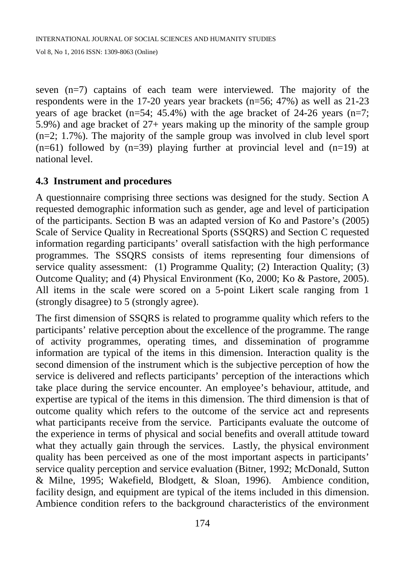seven (n=7) captains of each team were interviewed. The majority of the respondents were in the 17-20 years year brackets (n=56; 47%) as well as 21-23 years of age bracket  $(n=54; 45.4%)$  with the age bracket of 24-26 years  $(n=7;$ 5.9%) and age bracket of 27+ years making up the minority of the sample group (n=2; 1.7%). The majority of the sample group was involved in club level sport  $(n=61)$  followed by  $(n=39)$  playing further at provincial level and  $(n=19)$  at national level.

#### **4.3 Instrument and procedures**

A questionnaire comprising three sections was designed for the study. Section A requested demographic information such as gender, age and level of participation of the participants. Section B was an adapted version of Ko and Pastore's (2005) Scale of Service Quality in Recreational Sports (SSQRS) and Section C requested information regarding participants' overall satisfaction with the high performance programmes. The SSQRS consists of items representing four dimensions of service quality assessment: (1) Programme Quality; (2) Interaction Quality; (3) Outcome Quality; and (4) Physical Environment (Ko, 2000; Ko & Pastore, 2005). All items in the scale were scored on a 5-point Likert scale ranging from 1 (strongly disagree) to 5 (strongly agree).

The first dimension of SSQRS is related to programme quality which refers to the participants' relative perception about the excellence of the programme. The range of activity programmes, operating times, and dissemination of programme information are typical of the items in this dimension. Interaction quality is the second dimension of the instrument which is the subjective perception of how the service is delivered and reflects participants' perception of the interactions which take place during the service encounter. An employee's behaviour, attitude, and expertise are typical of the items in this dimension. The third dimension is that of outcome quality which refers to the outcome of the service act and represents what participants receive from the service. Participants evaluate the outcome of the experience in terms of physical and social benefits and overall attitude toward what they actually gain through the services. Lastly, the physical environment quality has been perceived as one of the most important aspects in participants' service quality perception and service evaluation (Bitner, 1992; McDonald, Sutton & Milne, 1995; Wakefield, Blodgett, & Sloan, 1996). Ambience condition, facility design, and equipment are typical of the items included in this dimension. Ambience condition refers to the background characteristics of the environment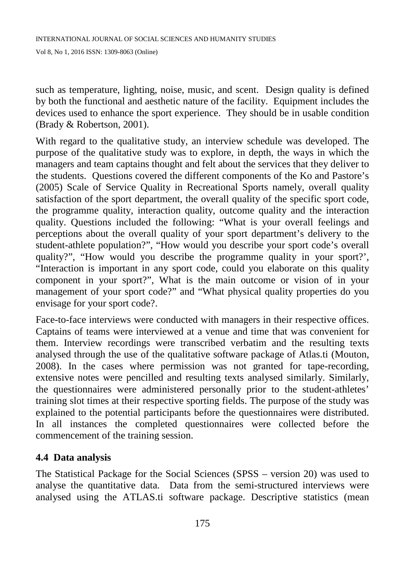such as temperature, lighting, noise, music, and scent. Design quality is defined by both the functional and aesthetic nature of the facility. Equipment includes the devices used to enhance the sport experience. They should be in usable condition (Brady & Robertson, 2001).

With regard to the qualitative study, an interview schedule was developed. The purpose of the qualitative study was to explore, in depth, the ways in which the managers and team captains thought and felt about the services that they deliver to the students. Questions covered the different components of the Ko and Pastore's (2005) Scale of Service Quality in Recreational Sports namely, overall quality satisfaction of the sport department, the overall quality of the specific sport code, the programme quality, interaction quality, outcome quality and the interaction quality. Questions included the following: "What is your overall feelings and perceptions about the overall quality of your sport department's delivery to the student-athlete population?", "How would you describe your sport code's overall quality?", "How would you describe the programme quality in your sport?', "Interaction is important in any sport code, could you elaborate on this quality component in your sport?", What is the main outcome or vision of in your management of your sport code?" and "What physical quality properties do you envisage for your sport code?.

Face-to-face interviews were conducted with managers in their respective offices. Captains of teams were interviewed at a venue and time that was convenient for them. Interview recordings were transcribed verbatim and the resulting texts analysed through the use of the qualitative software package of Atlas.ti (Mouton, 2008). In the cases where permission was not granted for tape-recording, extensive notes were pencilled and resulting texts analysed similarly. Similarly, the questionnaires were administered personally prior to the student-athletes' training slot times at their respective sporting fields. The purpose of the study was explained to the potential participants before the questionnaires were distributed. In all instances the completed questionnaires were collected before the commencement of the training session.

### **4.4 Data analysis**

The Statistical Package for the Social Sciences (SPSS – version 20) was used to analyse the quantitative data. Data from the semi-structured interviews were analysed using the ATLAS.ti software package. Descriptive statistics (mean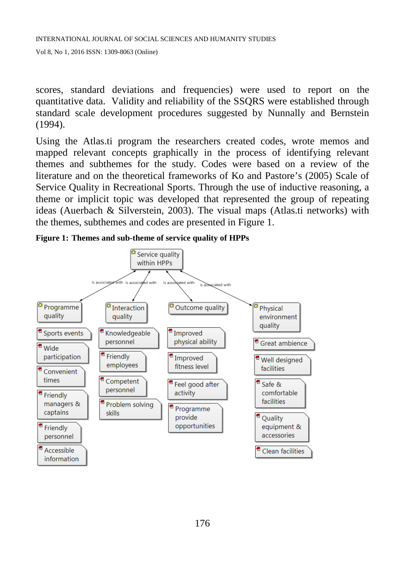scores, standard deviations and frequencies) were used to report on the quantitative data. Validity and reliability of the SSQRS were established through standard scale development procedures suggested by Nunnally and Bernstein (1994).

Using the Atlas.ti program the researchers created codes, wrote memos and mapped relevant concepts graphically in the process of identifying relevant themes and subthemes for the study. Codes were based on a review of the literature and on the theoretical frameworks of Ko and Pastore's (2005) Scale of Service Quality in Recreational Sports. Through the use of inductive reasoning, a theme or implicit topic was developed that represented the group of repeating ideas (Auerbach & Silverstein, 2003). The visual maps (Atlas.ti networks) with the themes, subthemes and codes are presented in Figure 1.



**Figure 1: Themes and sub-theme of service quality of HPPs**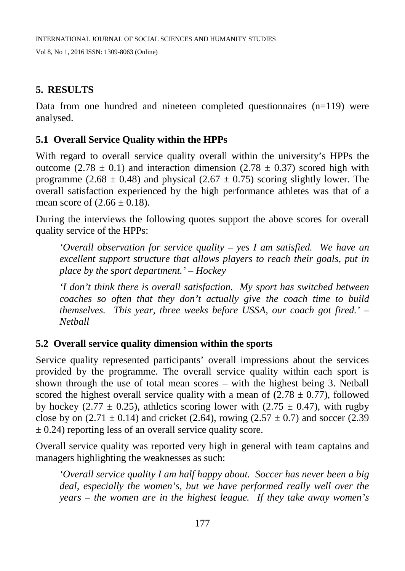#### **5. RESULTS**

Data from one hundred and nineteen completed questionnaires  $(n=119)$  were analysed.

# **5.1 Overall Service Quality within the HPPs**

With regard to overall service quality overall within the university's HPPs the outcome (2.78  $\pm$  0.1) and interaction dimension (2.78  $\pm$  0.37) scored high with programme (2.68  $\pm$  0.48) and physical (2.67  $\pm$  0.75) scoring slightly lower. The overall satisfaction experienced by the high performance athletes was that of a mean score of  $(2.66 \pm 0.18)$ .

During the interviews the following quotes support the above scores for overall quality service of the HPPs:

*'Overall observation for service quality – yes I am satisfied. We have an excellent support structure that allows players to reach their goals, put in place by the sport department.' – Hockey*

*'I don't think there is overall satisfaction. My sport has switched between coaches so often that they don't actually give the coach time to build themselves. This year, three weeks before USSA, our coach got fired.' – Netball*

### **5.2 Overall service quality dimension within the sports**

Service quality represented participants' overall impressions about the services provided by the programme. The overall service quality within each sport is shown through the use of total mean scores – with the highest being 3. Netball scored the highest overall service quality with a mean of  $(2.78 \pm 0.77)$ , followed by hockey (2.77  $\pm$  0.25), athletics scoring lower with (2.75  $\pm$  0.47), with rugby close by on  $(2.71 \pm 0.14)$  and cricket  $(2.64)$ , rowing  $(2.57 \pm 0.7)$  and soccer  $(2.39$  $\pm$  0.24) reporting less of an overall service quality score.

Overall service quality was reported very high in general with team captains and managers highlighting the weaknesses as such:

*'Overall service quality I am half happy about. Soccer has never been a big deal, especially the women's, but we have performed really well over the years – the women are in the highest league. If they take away women's*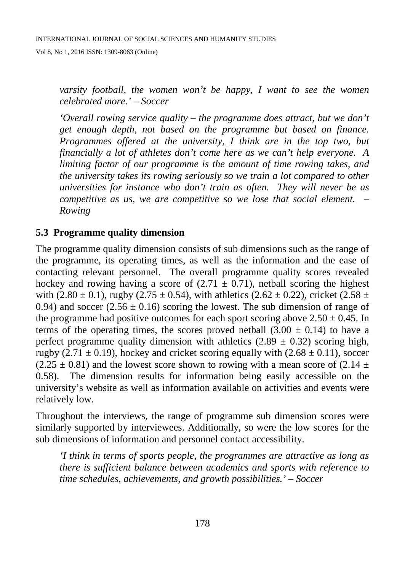*varsity football, the women won't be happy, I want to see the women celebrated more.' – Soccer*

*'Overall rowing service quality – the programme does attract, but we don't get enough depth, not based on the programme but based on finance. Programmes offered at the university, I think are in the top two, but financially a lot of athletes don't come here as we can't help everyone. A limiting factor of our programme is the amount of time rowing takes, and the university takes its rowing seriously so we train a lot compared to other universities for instance who don't train as often. They will never be as competitive as us, we are competitive so we lose that social element. – Rowing*

#### **5.3 Programme quality dimension**

The programme quality dimension consists of sub dimensions such as the range of the programme, its operating times, as well as the information and the ease of contacting relevant personnel. The overall programme quality scores revealed hockey and rowing having a score of  $(2.71 \pm 0.71)$ , netball scoring the highest with (2.80  $\pm$  0.1), rugby (2.75  $\pm$  0.54), with athletics (2.62  $\pm$  0.22), cricket (2.58  $\pm$ 0.94) and soccer (2.56  $\pm$  0.16) scoring the lowest. The sub dimension of range of the programme had positive outcomes for each sport scoring above  $2.50 \pm 0.45$ . In terms of the operating times, the scores proved netball  $(3.00 \pm 0.14)$  to have a perfect programme quality dimension with athletics  $(2.89 \pm 0.32)$  scoring high, rugby (2.71  $\pm$  0.19), hockey and cricket scoring equally with (2.68  $\pm$  0.11), soccer  $(2.25 \pm 0.81)$  and the lowest score shown to rowing with a mean score of  $(2.14 \pm 0.81)$ 0.58). The dimension results for information being easily accessible on the university's website as well as information available on activities and events were relatively low.

Throughout the interviews, the range of programme sub dimension scores were similarly supported by interviewees. Additionally, so were the low scores for the sub dimensions of information and personnel contact accessibility.

*'I think in terms of sports people, the programmes are attractive as long as there is sufficient balance between academics and sports with reference to time schedules, achievements, and growth possibilities.' – Soccer*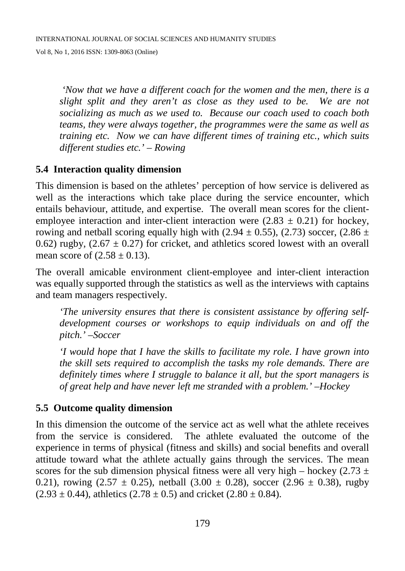*'Now that we have a different coach for the women and the men, there is a slight split and they aren't as close as they used to be. We are not socializing as much as we used to. Because our coach used to coach both teams, they were always together, the programmes were the same as well as training etc. Now we can have different times of training etc., which suits different studies etc.' – Rowing*

#### **5.4 Interaction quality dimension**

This dimension is based on the athletes' perception of how service is delivered as well as the interactions which take place during the service encounter, which entails behaviour, attitude, and expertise. The overall mean scores for the clientemployee interaction and inter-client interaction were  $(2.83 \pm 0.21)$  for hockey, rowing and netball scoring equally high with (2.94  $\pm$  0.55), (2.73) soccer, (2.86  $\pm$ 0.62) rugby,  $(2.67 \pm 0.27)$  for cricket, and athletics scored lowest with an overall mean score of  $(2.58 \pm 0.13)$ .

The overall amicable environment client-employee and inter-client interaction was equally supported through the statistics as well as the interviews with captains and team managers respectively.

*'The university ensures that there is consistent assistance by offering selfdevelopment courses or workshops to equip individuals on and off the pitch.' –Soccer*

*'I would hope that I have the skills to facilitate my role. I have grown into the skill sets required to accomplish the tasks my role demands. There are definitely times where I struggle to balance it all, but the sport managers is of great help and have never left me stranded with a problem.' –Hockey*

#### **5.5 Outcome quality dimension**

In this dimension the outcome of the service act as well what the athlete receives from the service is considered. The athlete evaluated the outcome of the experience in terms of physical (fitness and skills) and social benefits and overall attitude toward what the athlete actually gains through the services. The mean scores for the sub dimension physical fitness were all very high – hockey (2.73  $\pm$ 0.21), rowing  $(2.57 \pm 0.25)$ , netball  $(3.00 \pm 0.28)$ , soccer  $(2.96 \pm 0.38)$ , rugby  $(2.93 \pm 0.44)$ , athletics  $(2.78 \pm 0.5)$  and cricket  $(2.80 \pm 0.84)$ .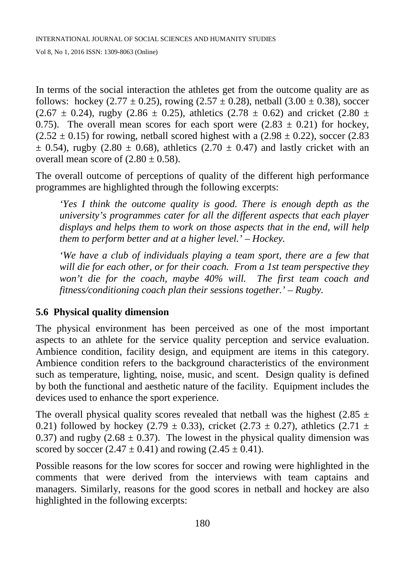In terms of the social interaction the athletes get from the outcome quality are as follows: hockey (2.77  $\pm$  0.25), rowing (2.57  $\pm$  0.28), netball (3.00  $\pm$  0.38), soccer  $(2.67 \pm 0.24)$ , rugby  $(2.86 \pm 0.25)$ , athletics  $(2.78 \pm 0.62)$  and cricket  $(2.80 \pm 0.25)$ 0.75). The overall mean scores for each sport were  $(2.83 \pm 0.21)$  for hockey,  $(2.52 \pm 0.15)$  for rowing, netball scored highest with a  $(2.98 \pm 0.22)$ , soccer  $(2.83$  $\pm$  0.54), rugby (2.80  $\pm$  0.68), athletics (2.70  $\pm$  0.47) and lastly cricket with an overall mean score of  $(2.80 \pm 0.58)$ .

The overall outcome of perceptions of quality of the different high performance programmes are highlighted through the following excerpts:

*'Yes I think the outcome quality is good. There is enough depth as the university's programmes cater for all the different aspects that each player displays and helps them to work on those aspects that in the end, will help them to perform better and at a higher level.' – Hockey.*

*'We have a club of individuals playing a team sport, there are a few that will die for each other, or for their coach. From a 1st team perspective they won't die for the coach, maybe 40% will. The first team coach and fitness/conditioning coach plan their sessions together.' – Rugby.*

# **5.6 Physical quality dimension**

The physical environment has been perceived as one of the most important aspects to an athlete for the service quality perception and service evaluation. Ambience condition, facility design, and equipment are items in this category. Ambience condition refers to the background characteristics of the environment such as temperature, lighting, noise, music, and scent. Design quality is defined by both the functional and aesthetic nature of the facility. Equipment includes the devices used to enhance the sport experience.

The overall physical quality scores revealed that netball was the highest (2.85  $\pm$ 0.21) followed by hockey (2.79  $\pm$  0.33), cricket (2.73  $\pm$  0.27), athletics (2.71  $\pm$ 0.37) and rugby  $(2.68 \pm 0.37)$ . The lowest in the physical quality dimension was scored by soccer  $(2.47 \pm 0.41)$  and rowing  $(2.45 \pm 0.41)$ .

Possible reasons for the low scores for soccer and rowing were highlighted in the comments that were derived from the interviews with team captains and managers. Similarly, reasons for the good scores in netball and hockey are also highlighted in the following excerpts: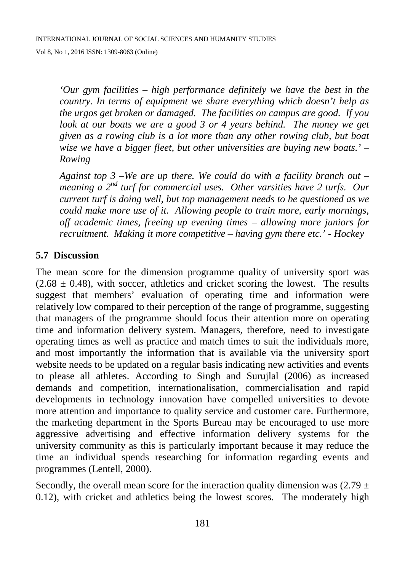*'Our gym facilities – high performance definitely we have the best in the country. In terms of equipment we share everything which doesn't help as the urgos get broken or damaged. The facilities on campus are good. If you*  look at our boats we are a good 3 or 4 years behind. The money we get *given as a rowing club is a lot more than any other rowing club, but boat wise we have a bigger fleet, but other universities are buying new boats.' – Rowing*

*Against top 3 –We are up there. We could do with a facility branch out – meaning a 2nd turf for commercial uses. Other varsities have 2 turfs. Our current turf is doing well, but top management needs to be questioned as we could make more use of it. Allowing people to train more, early mornings, off academic times, freeing up evening times – allowing more juniors for recruitment. Making it more competitive – having gym there etc.' - Hockey*

#### **5.7 Discussion**

The mean score for the dimension programme quality of university sport was  $(2.68 \pm 0.48)$ , with soccer, athletics and cricket scoring the lowest. The results suggest that members' evaluation of operating time and information were relatively low compared to their perception of the range of programme, suggesting that managers of the programme should focus their attention more on operating time and information delivery system. Managers, therefore, need to investigate operating times as well as practice and match times to suit the individuals more, and most importantly the information that is available via the university sport website needs to be updated on a regular basis indicating new activities and events to please all athletes. According to Singh and Surujlal (2006) as increased demands and competition, internationalisation, commercialisation and rapid developments in technology innovation have compelled universities to devote more attention and importance to quality service and customer care. Furthermore, the marketing department in the Sports Bureau may be encouraged to use more aggressive advertising and effective information delivery systems for the university community as this is particularly important because it may reduce the time an individual spends researching for information regarding events and programmes (Lentell, 2000).

Secondly, the overall mean score for the interaction quality dimension was  $(2.79 \pm 1)$ 0.12), with cricket and athletics being the lowest scores. The moderately high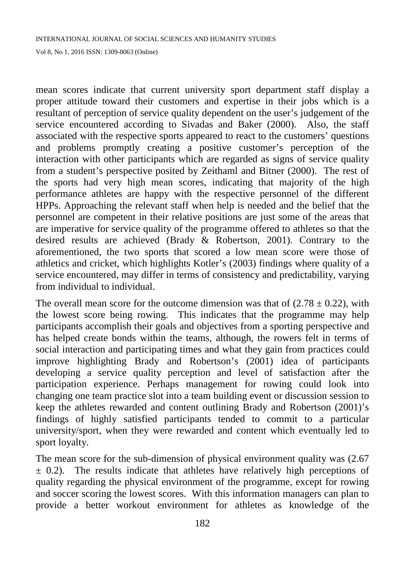mean scores indicate that current university sport department staff display a proper attitude toward their customers and expertise in their jobs which is a resultant of perception of service quality dependent on the user's judgement of the service encountered according to Sivadas and Baker (2000). Also, the staff associated with the respective sports appeared to react to the customers' questions and problems promptly creating a positive customer's perception of the interaction with other participants which are regarded as signs of service quality from a student's perspective posited by Zeithaml and Bitner (2000). The rest of the sports had very high mean scores, indicating that majority of the high performance athletes are happy with the respective personnel of the different HPPs. Approaching the relevant staff when help is needed and the belief that the personnel are competent in their relative positions are just some of the areas that are imperative for service quality of the programme offered to athletes so that the desired results are achieved (Brady & Robertson, 2001). Contrary to the aforementioned, the two sports that scored a low mean score were those of athletics and cricket, which highlights Kotler's (2003) findings where quality of a service encountered, may differ in terms of consistency and predictability, varying from individual to individual.

The overall mean score for the outcome dimension was that of  $(2.78 \pm 0.22)$ , with the lowest score being rowing. This indicates that the programme may help participants accomplish their goals and objectives from a sporting perspective and has helped create bonds within the teams, although, the rowers felt in terms of social interaction and participating times and what they gain from practices could improve highlighting Brady and Robertson's (2001) idea of participants developing a service quality perception and level of satisfaction after the participation experience. Perhaps management for rowing could look into changing one team practice slot into a team building event or discussion session to keep the athletes rewarded and content outlining Brady and Robertson (2001)'s findings of highly satisfied participants tended to commit to a particular university/sport, when they were rewarded and content which eventually led to sport loyalty.

The mean score for the sub-dimension of physical environment quality was (2.67  $\pm$  0.2). The results indicate that athletes have relatively high perceptions of quality regarding the physical environment of the programme, except for rowing and soccer scoring the lowest scores. With this information managers can plan to provide a better workout environment for athletes as knowledge of the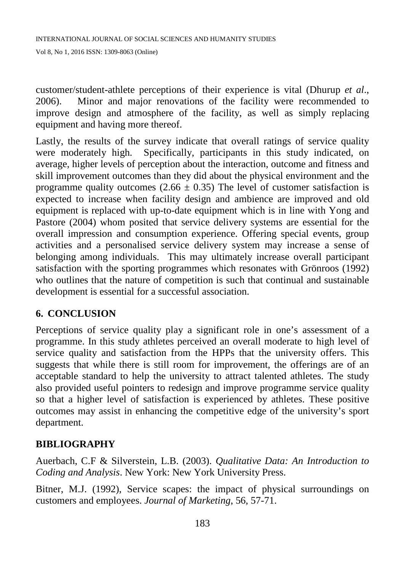customer/student-athlete perceptions of their experience is vital (Dhurup *et al*., 2006). Minor and major renovations of the facility were recommended to improve design and atmosphere of the facility, as well as simply replacing equipment and having more thereof.

Lastly, the results of the survey indicate that overall ratings of service quality were moderately high. Specifically, participants in this study indicated, on average, higher levels of perception about the interaction, outcome and fitness and skill improvement outcomes than they did about the physical environment and the programme quality outcomes (2.66  $\pm$  0.35) The level of customer satisfaction is expected to increase when facility design and ambience are improved and old equipment is replaced with up-to-date equipment which is in line with Yong and Pastore (2004) whom posited that service delivery systems are essential for the overall impression and consumption experience. Offering special events, group activities and a personalised service delivery system may increase a sense of belonging among individuals. This may ultimately increase overall participant satisfaction with the sporting programmes which resonates with Grönroos (1992) who outlines that the nature of competition is such that continual and sustainable development is essential for a successful association.

# **6. CONCLUSION**

Perceptions of service quality play a significant role in one's assessment of a programme. In this study athletes perceived an overall moderate to high level of service quality and satisfaction from the HPPs that the university offers. This suggests that while there is still room for improvement, the offerings are of an acceptable standard to help the university to attract talented athletes. The study also provided useful pointers to redesign and improve programme service quality so that a higher level of satisfaction is experienced by athletes. These positive outcomes may assist in enhancing the competitive edge of the university's sport department.

# **BIBLIOGRAPHY**

Auerbach, C.F & Silverstein, L.B. (2003). *Qualitative Data: An Introduction to Coding and Analysis*. New York: New York University Press.

Bitner, M.J. (1992), Service scapes: the impact of physical surroundings on customers and employees. *Journal of Marketing*, 56, 57-71.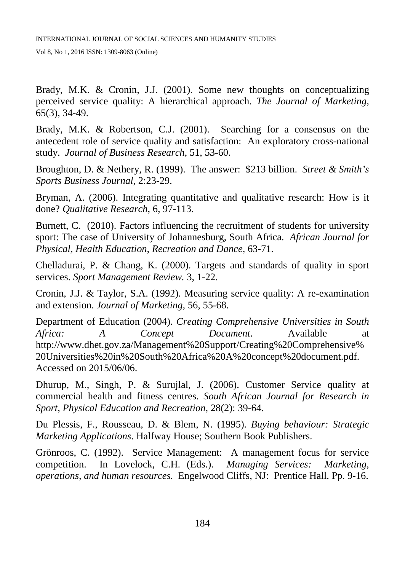Brady, M.K. & Cronin, J.J. (2001). Some new thoughts on conceptualizing perceived service quality: A hierarchical approach. *The Journal of Marketing*, 65(3), 34-49.

Brady, M.K. & Robertson, C.J. (2001). Searching for a consensus on the antecedent role of service quality and satisfaction: An exploratory cross-national study. *Journal of Business Research*, 51, 53-60.

Broughton, D. & Nethery, R. (1999). The answer: \$213 billion. *Street & Smith's Sports Business Journal*, 2:23-29.

Bryman, A. (2006). Integrating quantitative and qualitative research: How is it done? *Qualitative Research*, 6, 97-113.

Burnett, C. (2010). Factors influencing the recruitment of students for university sport: The case of University of Johannesburg, South Africa. *African Journal for Physical, Health Education, Recreation and Dance,* 63-71.

Chelladurai, P. & Chang, K. (2000). Targets and standards of quality in sport services. *Sport Management Review.* 3, 1-22.

Cronin, J.J. & Taylor, S.A. (1992). Measuring service quality: A re-examination and extension. *Journal of Marketing*, 56, 55-68.

Department of Education (2004). *Creating Comprehensive Universities in South Africa: A Concept Document*. Available at http://www.dhet.gov.za/Management%20Support/Creating%20Comprehensive% 20Universities%20in%20South%20Africa%20A%20concept%20document.pdf. Accessed on 2015/06/06.

Dhurup, M., Singh, P. & Surujlal, J. (2006). Customer Service quality at commercial health and fitness centres. *South African Journal for Research in Sport, Physical Education and Recreation,* 28(2): 39-64.

Du Plessis, F., Rousseau, D. & Blem, N. (1995). *Buying behaviour: Strategic Marketing Applications*. Halfway House; Southern Book Publishers.

Grönroos, C. (1992). Service Management: A management focus for service competition. In Lovelock, C.H. (Eds.). *Managing Services: Marketing, operations, and human resources.* Engelwood Cliffs, NJ: Prentice Hall. Pp. 9-16.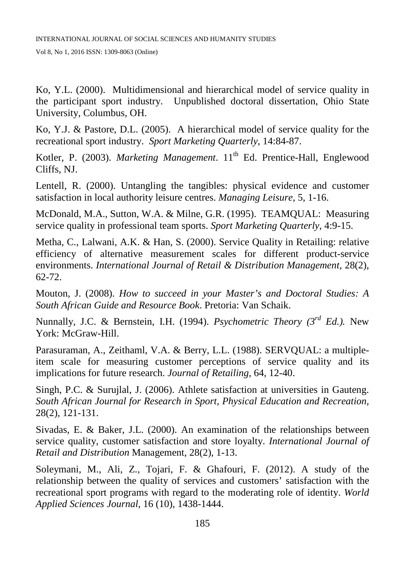Ko, Y.L. (2000). Multidimensional and hierarchical model of service quality in the participant sport industry. Unpublished doctoral dissertation, Ohio State University, Columbus, OH.

Ko, Y.J. & Pastore, D.L. (2005). A hierarchical model of service quality for the recreational sport industry. *Sport Marketing Quarterly*, 14:84-87.

Kotler, P. (2003). *Marketing Management*. 11<sup>th</sup> Ed. Prentice-Hall, Englewood Cliffs, NJ.

Lentell, R. (2000). Untangling the tangibles: physical evidence and customer satisfaction in local authority leisure centres. *Managing Leisure*, 5, 1-16.

McDonald, M.A., Sutton, W.A. & Milne, G.R. (1995). TEAMQUAL: Measuring service quality in professional team sports. *Sport Marketing Quarterly*, 4:9-15.

Metha, C., Lalwani, A.K. & Han, S. (2000). Service Quality in Retailing: relative efficiency of alternative measurement scales for different product-service environments. *International Journal of Retail & Distribution Management,* 28(2), 62-72.

Mouton, J. (2008). *How to succeed in your Master's and Doctoral Studies: A South African Guide and Resource Book*. Pretoria: Van Schaik.

Nunnally, J.C. & Bernstein, I.H. (1994). *Psychometric Theory (3rd Ed.).* New York: McGraw-Hill.

Parasuraman, A., Zeithaml, V.A. & Berry, L.L. (1988). SERVQUAL: a multipleitem scale for measuring customer perceptions of service quality and its implications for future research. *Journal of Retailing*, 64, 12-40.

Singh, P.C. & Surujlal, J. (2006). Athlete satisfaction at universities in Gauteng. *South African Journal for Research in Sport, Physical Education and Recreation*, 28(2), 121-131.

Sivadas, E. & Baker, J.L. (2000). An examination of the relationships between service quality, customer satisfaction and store loyalty. *International Journal of Retail and Distribution* Management, 28(2), 1-13.

Soleymani, M., Ali, Z., Tojari, F. & Ghafouri, F. (2012). A study of the relationship between the quality of services and customers' satisfaction with the recreational sport programs with regard to the moderating role of identity. *World Applied Sciences Journal*, 16 (10), 1438-1444.